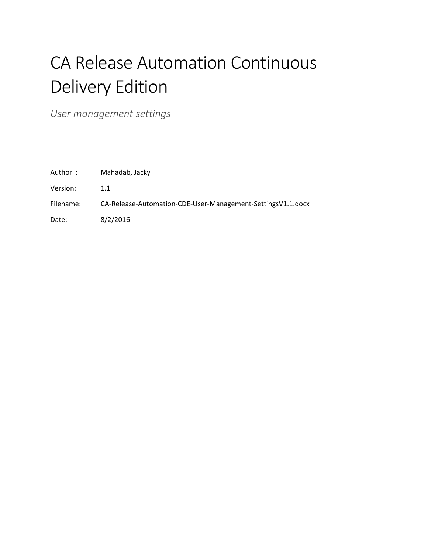# CA Release Automation Continuous Delivery Edition

<span id="page-0-0"></span>*User management settings*

| Mahadab, Jacky |
|----------------|
|                |

Version: 1.1

#### Filename: CA-Release-Automation-CDE-User-Management-SettingsV1.1.docx

Date: 8/2/2016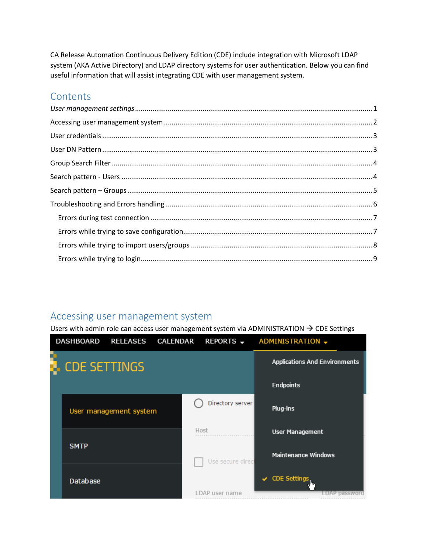CA Release Automation Continuous Delivery Edition (CDE) include integration with Microsoft LDAP system (AKA Active Directory) and LDAP directory systems for user authentication. Below you can find useful information that will assist integrating CDE with user management system.

# **Contents**

| $\emph{User management settings} \label{def:user} \emph{Unimorphism} \emph{User management settings} \emph{} \emph{main} \emph{main} \emph{main} \emph{main} \emph{main} \emph{main} \emph{main} \emph{main} \emph{main} \emph{main} \emph{main} \emph{main} \emph{main} \emph{main} \emph{main} \emph{main} \emph{main} \emph{main} \emph{main} \emph{main} \emph{main} \emph{main} \emph{main} \emph{main} \emph{main} \emph{main} \emph{main} \emph{main} \emph{main} \emph{main} \emph$ |  |
|---------------------------------------------------------------------------------------------------------------------------------------------------------------------------------------------------------------------------------------------------------------------------------------------------------------------------------------------------------------------------------------------------------------------------------------------------------------------------------------------|--|
|                                                                                                                                                                                                                                                                                                                                                                                                                                                                                             |  |
|                                                                                                                                                                                                                                                                                                                                                                                                                                                                                             |  |
|                                                                                                                                                                                                                                                                                                                                                                                                                                                                                             |  |
|                                                                                                                                                                                                                                                                                                                                                                                                                                                                                             |  |
|                                                                                                                                                                                                                                                                                                                                                                                                                                                                                             |  |
|                                                                                                                                                                                                                                                                                                                                                                                                                                                                                             |  |
|                                                                                                                                                                                                                                                                                                                                                                                                                                                                                             |  |
|                                                                                                                                                                                                                                                                                                                                                                                                                                                                                             |  |
|                                                                                                                                                                                                                                                                                                                                                                                                                                                                                             |  |
|                                                                                                                                                                                                                                                                                                                                                                                                                                                                                             |  |
|                                                                                                                                                                                                                                                                                                                                                                                                                                                                                             |  |

# <span id="page-1-0"></span>Accessing user management system

Users with admin role can access user management system via ADMINISTRATION  $\rightarrow$  CDE Settings

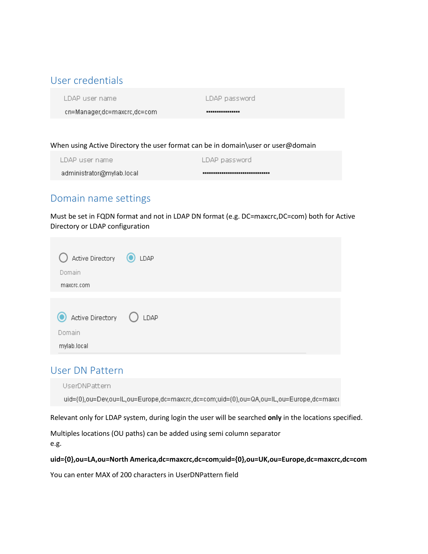# <span id="page-2-0"></span>User credentials

LDAP user name

LDAP password

cn=Manager,dc=maxcrc,dc=com

...............

#### When using Active Directory the user format can be in domain\user or user@domain

| LDAP user name            | LDAP password                   |
|---------------------------|---------------------------------|
| administrator@mylab.local | ,,,,,,,,,,,,,,,,,,,,,,,,,,,,,,, |

# Domain name settings

Must be set in FQDN format and not in LDAP DN format (e.g. DC=maxcrc,DC=com) both for Active Directory or LDAP configuration

| Active Directory <b>O</b> LDAP<br>Domain<br>maxcrc.com  |  |
|---------------------------------------------------------|--|
| Active Directory (C) LDAP<br>O<br>Domain<br>mylab.local |  |

### <span id="page-2-1"></span>User DN Pattern

UserDNPattern

uid={0},ou=Dev,ou=IL,ou=Europe,dc=maxcrc,dc=com;uid={0},ou=QA,ou=IL,ou=Europe,dc=maxcr

Relevant only for LDAP system, during login the user will be searched **only** in the locations specified.

Multiples locations (OU paths) can be added using semi column separator

e.g.

#### **uid={0},ou=LA,ou=North America,dc=maxcrc,dc=com;uid={0},ou=UK,ou=Europe,dc=maxcrc,dc=com**

You can enter MAX of 200 characters in UserDNPattern field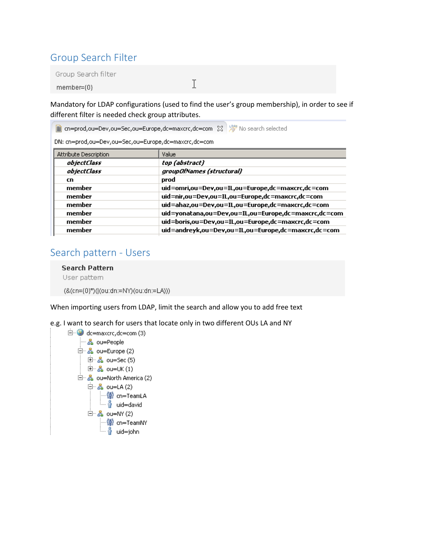# <span id="page-3-0"></span>Group Search Filter

Group Search filter

member={0}

Mandatory for LDAP configurations (used to find the user's group membership), in order to see if different filter is needed check group attributes.

 $\mathbf I$ 

| 图 cn=prod,ou=Dev,ou=Sec,ou=Europe,dc=maxcrc,dc=com 23 X <sup>96</sup> No search selected |                                                      |  |
|------------------------------------------------------------------------------------------|------------------------------------------------------|--|
| DN: cn=prod,ou=Dev,ou=Sec,ou=Europe,dc=maxcrc,dc=com                                     |                                                      |  |
| Attribute Description                                                                    | Value                                                |  |
| <i>objectClass</i>                                                                       | top (abstract)                                       |  |
| <i>objectClass</i>                                                                       | groupOfNames (structural)                            |  |
| cn                                                                                       | prod                                                 |  |
| member                                                                                   | uid=omri,ou=Dev,ou=IL,ou=Europe,dc=maxcrc,dc=com     |  |
| member                                                                                   | uid=nir,ou=Dev,ou=IL,ou=Europe,dc=maxcrc,dc=com      |  |
| member                                                                                   | uid=ahaz,ou=Dev,ou=IL,ou=Europe,dc=maxcrc,dc=com     |  |
| member                                                                                   | uid=yonatana,ou=Dev,ou=IL,ou=Europe,dc=maxcrc,dc=com |  |
| member                                                                                   | uid=boris,ou=Dev,ou=IL,ou=Europe,dc=maxcrc,dc=com    |  |
| member                                                                                   | uid=andreyk,ou=Dev,ou=IL,ou=Europe,dc=maxcrc,dc=com  |  |
|                                                                                          |                                                      |  |

### <span id="page-3-1"></span>Search pattern - Users

**Search Pattern** User pattem (&(cn={0}\*)(|(ou:dn:=NY)(ou:dn:=LA)))

When importing users from LDAP, limit the search and allow you to add free text

e.g. I want to search for users that locate only in two different OUs LA and NY

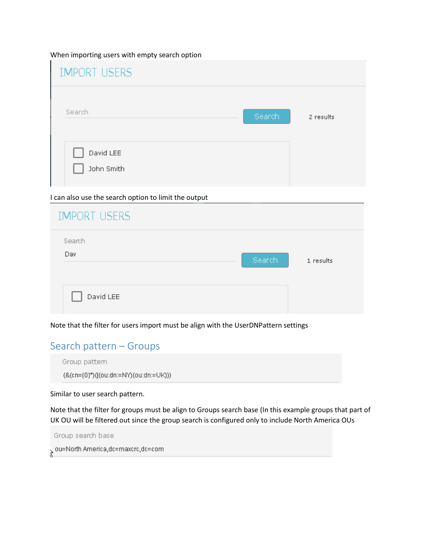When importing users with empty search option

| <b>IMPORT USERS</b>     |                     |
|-------------------------|---------------------|
| Search                  | Search<br>2 results |
| David LEE<br>John Smith |                     |

#### I can also use the search option to limit the output

| <b>IMPORT USERS</b> |        |           |
|---------------------|--------|-----------|
| Search<br>Dav       | Search | 1 results |
| David LEE           |        |           |

Note that the filter for users import must be align with the UserDNPattern settings

# <span id="page-4-0"></span>Search pattern – Groups

Group pattem

(&(cn={0}\*)((ou:dn:=NY)(ou:dn:=UK)))

#### Similar to user search pattern.

Note that the filter for groups must be align to Groups search base (In this example groups that part of UK OU will be filtered out since the group search is configured only to include North America OUs

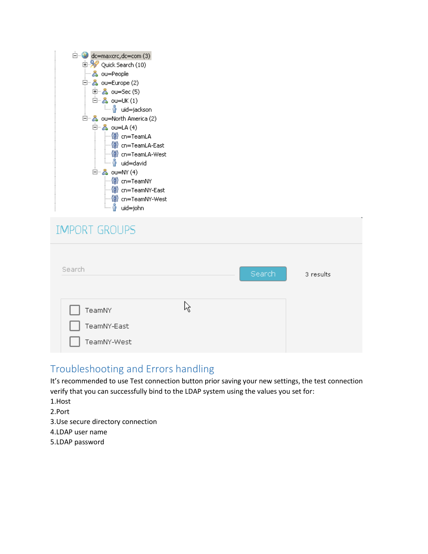| $\Box$ dc=maxcrc, dc=com (3)       |  |  |  |  |
|------------------------------------|--|--|--|--|
| 由 <mark>义</mark> Quick Search (10) |  |  |  |  |
| ┈홇 ou=People                       |  |  |  |  |
| 曰…옳 ou=Europe (2)                  |  |  |  |  |
| □ 品 ou=Sec (5)                     |  |  |  |  |
| 白 - 品 ou=UK(1)                     |  |  |  |  |
| └─ oid=jackson                     |  |  |  |  |
| 曰…晶 ou=North America (2)           |  |  |  |  |
| 白 - 品 ou=LA (4)                    |  |  |  |  |
| ॑॑॑॑॑ <mark>ॏ</mark> cn=TeamLA     |  |  |  |  |
| ∰ cn=TeamLA-East                   |  |  |  |  |
|                                    |  |  |  |  |
| <sub>i</sub> not all and add       |  |  |  |  |
| 白 - 品 ou=NY (4)                    |  |  |  |  |
| …∭ cn=TeamNY                       |  |  |  |  |
| … <mark>(</mark> ∰ cn=TeamNY-East  |  |  |  |  |
| ┈俯 cn=TeamNY-West                  |  |  |  |  |
| <sup>i</sup> nid=john              |  |  |  |  |

| <b>IMPORT GROUPS</b>                 |   |        |           |
|--------------------------------------|---|--------|-----------|
| Search                               |   | Search | 3 results |
| TeamNY<br>TeamNY-East<br>TeamNY-West | R |        |           |

# <span id="page-5-0"></span>Troubleshooting and Errors handling

It's recommended to use Test connection button prior saving your new settings, the test connection verify that you can successfully bind to the LDAP system using the values you set for:

- 1.Host
- 2.Port
- 3.Use secure directory connection
- 4.LDAP user name
- 5.LDAP password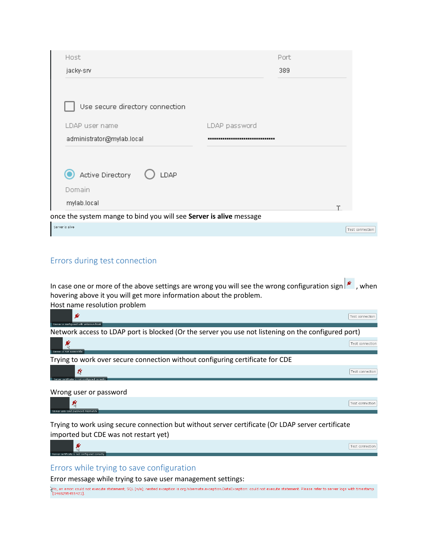| Host                                                               |               | Port |                 |
|--------------------------------------------------------------------|---------------|------|-----------------|
| jacky-srv                                                          |               | 389  |                 |
|                                                                    |               |      |                 |
| Use secure directory connection                                    |               |      |                 |
| LDAP user name                                                     | LDAP password |      |                 |
| administrator@mylab.local                                          |               |      |                 |
|                                                                    |               |      |                 |
| Active Directory<br>LDAP                                           |               |      |                 |
| Domain                                                             |               |      |                 |
| mylab.local                                                        |               |      |                 |
| once the system mange to bind you will see Server is alive message |               |      |                 |
| Server is alive                                                    |               |      | Test connection |

### <span id="page-6-0"></span>Errors during test connection

In case one or more of the above settings are wrong you will see the wrong configuration sign  $\vert \mathscr{L} \vert$ , when hovering above it you will get more information about the problem. Host name resolution problem

| y                                                                                                   | Test connection |
|-----------------------------------------------------------------------------------------------------|-----------------|
| Server is configured with unknown host                                                              |                 |
| Network access to LDAP port is blocked (Or the server you use not listening on the configured port) |                 |
|                                                                                                     | Test connection |
| Server is not accessible                                                                            |                 |
| Trying to work over secure connection without configuring certificate for CDE                       |                 |
| 咚<br>Server certificate is not configured correctly                                                 | Test connection |
|                                                                                                     |                 |
| Wrong user or password                                                                              |                 |
| 聚<br>Server user and password mismatch                                                              | Test connection |

Trying to work using secure connection but without server certificate (Or LDAP server certificate imported but CDE was not restart yet)



### <span id="page-6-1"></span>Errors while trying to save configuration

Error message while trying to save user management settings:<br>Wo, an error: could not execute statement; SQL [n/a]; nested exception is org.hibernate.exception.DataException: could not execute statement. Please refer to ser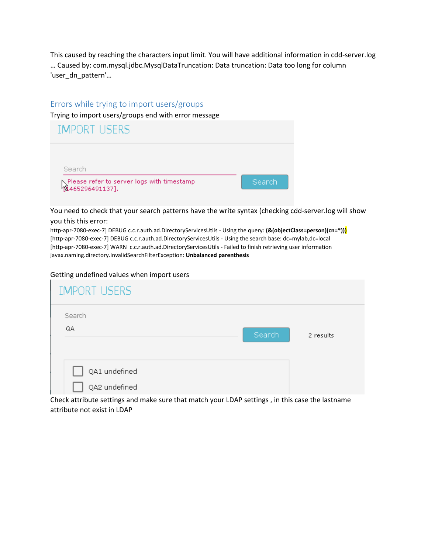This caused by reaching the characters input limit. You will have additional information in cdd-server.log … Caused by: com.mysql.jdbc.MysqlDataTruncation: Data truncation: Data too long for column 'user\_dn\_pattern'…

### <span id="page-7-0"></span>Errors while trying to import users/groups

Trying to import users/groups end with error message

| <b>IMPORT USERS</b>                                             |        |
|-----------------------------------------------------------------|--------|
| Search                                                          |        |
| pPlease refer to server logs with timestamp<br>h1465296491137]. | Search |

You need to check that your search patterns have the write syntax (checking cdd-server.log will show you this this error:

http-apr-7080-exec-7] DEBUG c.c.r.auth.ad.DirectoryServicesUtils - Using the query: **(&(objectClass=person)(cn=\*)))** [http-apr-7080-exec-7] DEBUG c.c.r.auth.ad.DirectoryServicesUtils - Using the search base: dc=mylab,dc=local [http-apr-7080-exec-7] WARN c.c.r.auth.ad.DirectoryServicesUtils - Failed to finish retrieving user information javax.naming.directory.InvalidSearchFilterException: **Unbalanced parenthesis**

#### Getting undefined values when import users

| <b>IMPORT USERS</b>            |        |           |
|--------------------------------|--------|-----------|
| Search<br>QA                   | Search | 2 results |
| QA1 undefined<br>QA2 undefined |        |           |

Check attribute settings and make sure that match your LDAP settings , in this case the lastname attribute not exist in LDAP